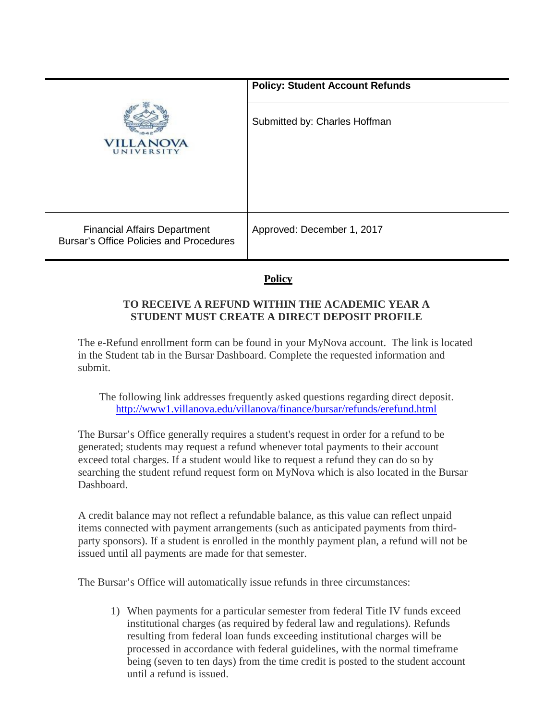|                                                                                       | <b>Policy: Student Account Refunds</b> |
|---------------------------------------------------------------------------------------|----------------------------------------|
| )VA<br>UNIVERSITY                                                                     | Submitted by: Charles Hoffman          |
| <b>Financial Affairs Department</b><br><b>Bursar's Office Policies and Procedures</b> | Approved: December 1, 2017             |

## **Policy**

## **TO RECEIVE A REFUND WITHIN THE ACADEMIC YEAR A STUDENT MUST CREATE A DIRECT DEPOSIT PROFILE**

The e-Refund enrollment form can be found in your MyNova account. The link is located in the Student tab in the Bursar Dashboard. Complete the requested information and submit.

The following link addresses frequently asked questions regarding direct deposit. <http://www1.villanova.edu/villanova/finance/bursar/refunds/erefund.html>

The Bursar's Office generally requires a student's request in order for a refund to be generated; students may request a refund whenever total payments to their account exceed total charges. If a student would like to request a refund they can do so by searching the student refund request form on MyNova which is also located in the Bursar Dashboard.

A credit balance may not reflect a refundable balance, as this value can reflect unpaid items connected with payment arrangements (such as anticipated payments from thirdparty sponsors). If a student is enrolled in the monthly payment plan, a refund will not be issued until all payments are made for that semester.

The Bursar's Office will automatically issue refunds in three circumstances:

1) When payments for a particular semester from federal Title IV funds exceed institutional charges (as required by federal law and regulations). Refunds resulting from federal loan funds exceeding institutional charges will be processed in accordance with federal guidelines, with the normal timeframe being (seven to ten days) from the time credit is posted to the student account until a refund is issued.